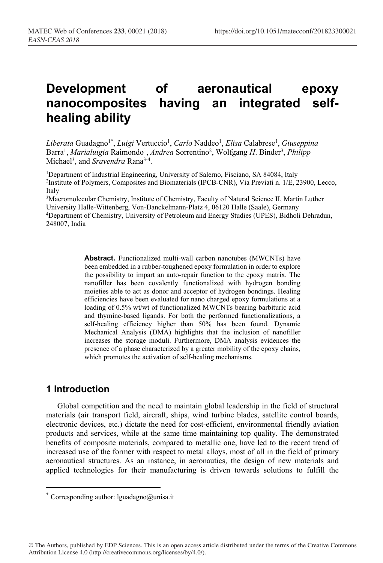# **Development of aeronautical epoxy nanocomposites having an integrated selfhealing ability**

 $Liberata Guadagno<sup>1*</sup>, *Luigi* Vertuccio<sup>1</sup>, *Carlo* Naddeo<sup>1</sup>, *Elisa* Calabrese<sup>1</sup>, *Giuseppeina*$ Barra<sup>1</sup>, *Marialuigia* Raimondo<sup>1</sup>, *Andrea* Sorrentino<sup>2</sup>, Wolfgang H. Binder<sup>3</sup>, Philipp Michael<sup>3</sup>, and *Sravendra* Rana<sup>3-4</sup>.

<sup>1</sup>Department of Industrial Engineering, University of Salerno, Fisciano, SA 84084, Italy <sup>2</sup>Institute of Polymers, Composites and Biomaterials (IPCB-CNR), Via Previati n. 1/E, 23900, Lecco, Italy

3 Macromolecular Chemistry, Institute of Chemistry, Faculty of Natural Science II, Martin Luther University Halle-Wittenberg, Von-Danckelmann-Platz 4, 06120 Halle (Saale), Germany 4Department of Chemistry, University of Petroleum and Energy Studies (UPES), Bidholi Dehradun, 248007, India

> **Abstract.** Functionalized multi-wall carbon nanotubes (MWCNTs) have been embedded in a rubber-toughened epoxy formulation in order to explore the possibility to impart an auto-repair function to the epoxy matrix. The nanofiller has been covalently functionalized with hydrogen bonding moieties able to act as donor and acceptor of hydrogen bondings. Healing efficiencies have been evaluated for nano charged epoxy formulations at a loading of 0.5% wt/wt of functionalized MWCNTs bearing barbituric acid and thymine-based ligands. For both the performed functionalizations, a self-healing efficiency higher than 50% has been found. Dynamic Mechanical Analysis (DMA) highlights that the inclusion of nanofiller increases the storage moduli. Furthermore, DMA analysis evidences the presence of a phase characterized by a greater mobility of the epoxy chains, which promotes the activation of self-healing mechanisms.

# **1 Introduction**

<u>.</u>

Global competition and the need to maintain global leadership in the field of structural materials (air transport field, aircraft, ships, wind turbine blades, satellite control boards, electronic devices, etc.) dictate the need for cost-efficient, environmental friendly aviation products and services, while at the same time maintaining top quality. The demonstrated benefits of composite materials, compared to metallic one, have led to the recent trend of increased use of the former with respect to metal alloys, most of all in the field of primary aeronautical structures. As an instance, in aeronautics, the design of new materials and applied technologies for their manufacturing is driven towards solutions to fulfill the

<sup>\*</sup> Corresponding author:  $lguadagno@unisa.it$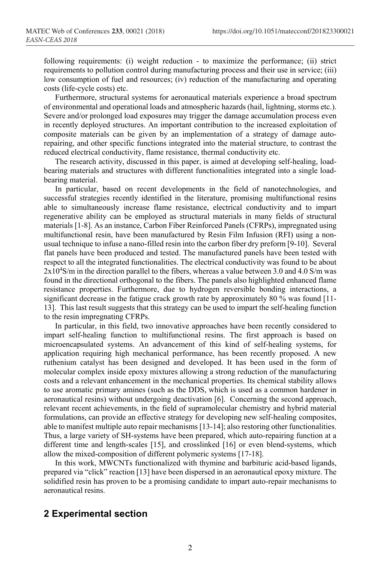following requirements: (i) weight reduction - to maximize the performance; (ii) strict requirements to pollution control during manufacturing process and their use in service; (iii) low consumption of fuel and resources; (iv) reduction of the manufacturing and operating costs (life-cycle costs) etc.

Furthermore, structural systems for aeronautical materials experience a broad spectrum of environmental and operational loads and atmospheric hazards (hail, lightning, storms etc.). Severe and/or prolonged load exposures may trigger the damage accumulation process even in recently deployed structures. An important contribution to the increased exploitation of composite materials can be given by an implementation of a strategy of damage autorepairing, and other specific functions integrated into the material structure, to contrast the reduced electrical conductivity, flame resistance, thermal conductivity etc.

The research activity, discussed in this paper, is aimed at developing self-healing, loadbearing materials and structures with different functionalities integrated into a single loadbearing material.

In particular, based on recent developments in the field of nanotechnologies, and successful strategies recently identified in the literature, promising multifunctional resins able to simultaneously increase flame resistance, electrical conductivity and to impart regenerative ability can be employed as structural materials in many fields of structural materials [1-8]. As an instance, Carbon Fiber Reinforced Panels (CFRPs), impregnated using multifunctional resin, have been manufactured by Resin Film Infusion (RFI) using a nonusual technique to infuse a nano-filled resin into the carbon fiber dry preform [9-10]. Several flat panels have been produced and tested. The manufactured panels have been tested with respect to all the integrated functionalities. The electrical conductivity was found to be about 2x10<sup>4</sup>S/m in the direction parallel to the fibers, whereas a value between 3.0 and 4.0 S/m was found in the directional orthogonal to the fibers. The panels also highlighted enhanced flame resistance properties. Furthermore, due to hydrogen reversible bonding interactions, a significant decrease in the fatigue crack growth rate by approximately 80 % was found [11- 13]. This last result suggests that this strategy can be used to impart the self-healing function to the resin impregnating CFRPs.

In particular, in this field, two innovative approaches have been recently considered to impart self-healing function to multifunctional resins. The first approach is based on microencapsulated systems. An advancement of this kind of self-healing systems, for application requiring high mechanical performance, has been recently proposed. A new ruthenium catalyst has been designed and developed. It has been used in the form of molecular complex inside epoxy mixtures allowing a strong reduction of the manufacturing costs and a relevant enhancement in the mechanical properties. Its chemical stability allows to use aromatic primary amines (such as the DDS, which is used as a common hardener in aeronautical resins) without undergoing deactivation [6]. Concerning the second approach, relevant recent achievements, in the field of supramolecular chemistry and hybrid material formulations, can provide an effective strategy for developing new self-healing composites, able to manifest multiple auto repair mechanisms [13-14]; also restoring other functionalities. Thus, a large variety of SH-systems have been prepared, which auto-repairing function at a different time and length-scales [15], and crosslinked [16] or even blend-systems, which allow the mixed-composition of different polymeric systems [17-18].

In this work, MWCNTs functionalized with thymine and barbituric acid-based ligands, prepared via "click" reaction [13] have been dispersed in an aeronautical epoxy mixture. The solidified resin has proven to be a promising candidate to impart auto-repair mechanisms to aeronautical resins.

## **2 Experimental section**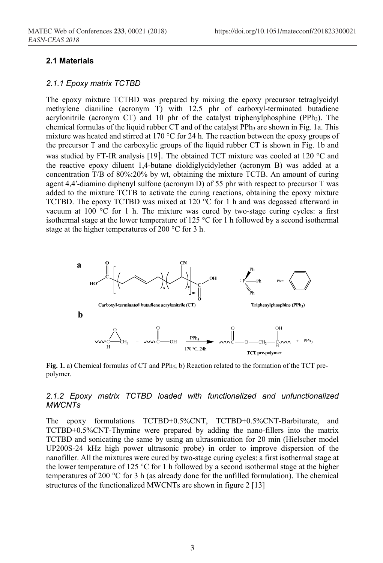## **2.1 Materials**

#### *2.1.1 Epoxy matrix TCTBD*

The epoxy mixture TCTBD was prepared by mixing the epoxy precursor tetraglycidyl methylene dianiline (acronym T) with 12.5 phr of carboxyl-terminated butadiene acrylonitrile (acronym CT) and  $10$  phr of the catalyst triphenylphosphine (PPh<sub>3</sub>). The chemical formulas of the liquid rubber CT and of the catalyst PPh<sub>3</sub> are shown in Fig. 1a. This mixture was heated and stirred at 170 °C for 24 h. The reaction between the epoxy groups of the precursor T and the carboxylic groups of the liquid rubber CT is shown in Fig. 1b and was studied by FT-IR analysis [19]. The obtained TCT mixture was cooled at 120 °C and the reactive epoxy diluent 1,4-butane dioldiglycidylether (acronym B) was added at a concentration T/B of 80%:20% by wt, obtaining the mixture TCTB. An amount of curing agent 4,4′-diamino diphenyl sulfone (acronym D) of 55 phr with respect to precursor T was added to the mixture TCTB to activate the curing reactions, obtaining the epoxy mixture TCTBD. The epoxy TCTBD was mixed at 120 °C for 1 h and was degassed afterward in vacuum at  $100$  °C for 1 h. The mixture was cured by two-stage curing cycles: a first isothermal stage at the lower temperature of 125 °C for 1 h followed by a second isothermal stage at the higher temperatures of 200 °C for 3 h.



**Fig. 1.** a) Chemical formulas of CT and PPh3; b) Reaction related to the formation of the TCT prepolymer.

## *2.1.2 Epoxy matrix TCTBD loaded with functionalized and unfunctionalized MWCNTs*

The epoxy formulations TCTBD+0.5%CNT, TCTBD+0.5%CNT-Barbiturate, and TCTBD+0.5%CNT-Thymine were prepared by adding the nano-fillers into the matrix TCTBD and sonicating the same by using an ultrasonication for 20 min (Hielscher model UP200S-24 kHz high power ultrasonic probe) in order to improve dispersion of the nanofiller. All the mixtures were cured by two-stage curing cycles: a first isothermal stage at the lower temperature of 125 °C for 1 h followed by a second isothermal stage at the higher temperatures of 200 °C for 3 h (as already done for the unfilled formulation). The chemical structures of the functionalized MWCNTs are shown in figure 2 [13]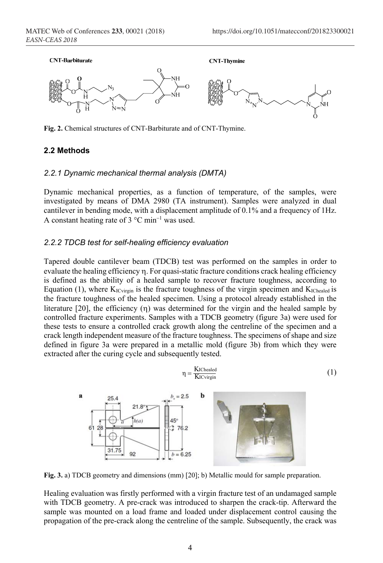

**Fig. 2.** Chemical structures of CNT-Barbiturate and of CNT-Thymine.

#### **2.2 Methods**

#### *2.2.1 Dynamic mechanical thermal analysis (DMTA)*

Dynamic mechanical properties, as a function of temperature, of the samples, were investigated by means of DMA 2980 (TA instrument). Samples were analyzed in dual cantilever in bending mode, with a displacement amplitude of 0.1% and a frequency of 1Hz. A constant heating rate of  $3^{\circ}$ C min<sup>-1</sup> was used.

#### *2.2.2 TDCB test for self-healing efficiency evaluation*

Tapered double cantilever beam (TDCB) test was performed on the samples in order to evaluate the healing efficiency  $\eta$ . For quasi-static fracture conditions crack healing efficiency is defined as the ability of a healed sample to recover fracture toughness, according to Equation (1), where  $K_{\text{ICvirain}}$  is the fracture toughness of the virgin specimen and  $K_{\text{IChead}}$  is the fracture toughness of the healed specimen. Using a protocol already established in the literature [20], the efficiency  $(\eta)$  was determined for the virgin and the healed sample by controlled fracture experiments. Samples with a TDCB geometry (figure 3a) were used for these tests to ensure a controlled crack growth along the centreline of the specimen and a crack length independent measure of the fracture toughness. The specimens of shape and size defined in figure 3a were prepared in a metallic mold (figure 3b) from which they were extracted after the curing cycle and subsequently tested.

$$
\eta = \frac{K_{IChealed}}{K_{ICvirgin}}\tag{1}
$$



**Fig. 3.** a) TDCB geometry and dimensions (mm) [20]; b) Metallic mould for sample preparation.

Healing evaluation was firstly performed with a virgin fracture test of an undamaged sample with TDCB geometry. A pre-crack was introduced to sharpen the crack-tip. Afterward the sample was mounted on a load frame and loaded under displacement control causing the propagation of the pre-crack along the centreline of the sample. Subsequently, the crack was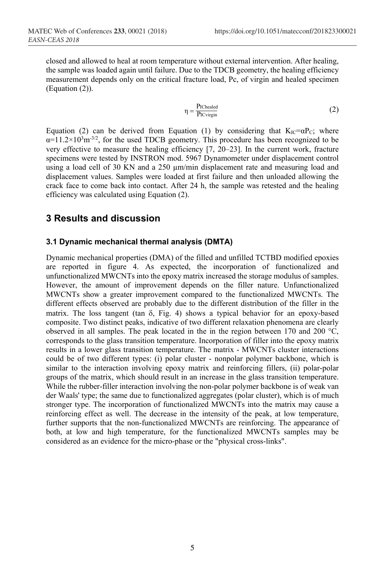closed and allowed to heal at room temperature without external intervention. After healing, the sample was loaded again until failure. Due to the TDCB geometry, the healing efficiency measurement depends only on the critical fracture load, Pc, of virgin and healed specimen (Equation (2)).

$$
\eta = \frac{P_{IChealed}}{P_{ICvirgin}}\tag{2}
$$

Equation (2) can be derived from Equation (1) by considering that  $K_{IC} = \alpha P_C$ ; where  $\alpha$ =11.2×10<sup>3</sup>m<sup>-3/2</sup>, for the used TDCB geometry. This procedure has been recognized to be very effective to measure the healing efficiency [7, 20–23]. In the current work, fracture specimens were tested by INSTRON mod. 5967 Dynamometer under displacement control using a load cell of 30 KN and a 250 µm/min displacement rate and measuring load and displacement values. Samples were loaded at first failure and then unloaded allowing the crack face to come back into contact. After 24 h, the sample was retested and the healing efficiency was calculated using Equation (2).

# **3 Results and discussion**

## **3.1 Dynamic mechanical thermal analysis (DMTA)**

Dynamic mechanical properties (DMA) of the filled and unfilled TCTBD modified epoxies are reported in figure 4. As expected, the incorporation of functionalized and unfunctionalized MWCNTs into the epoxy matrix increased the storage modulus of samples. However, the amount of improvement depends on the filler nature. Unfunctionalized MWCNTs show a greater improvement compared to the functionalized MWCNTs. The different effects observed are probably due to the different distribution of the filler in the matrix. The loss tangent (tan  $\delta$ , Fig. 4) shows a typical behavior for an epoxy-based composite. Two distinct peaks, indicative of two different relaxation phenomena are clearly observed in all samples. The peak located in the in the region between 170 and 200 °C, corresponds to the glass transition temperature. Incorporation of filler into the epoxy matrix results in a lower glass transition temperature. The matrix - MWCNTs cluster interactions could be of two different types: (i) polar cluster - nonpolar polymer backbone, which is similar to the interaction involving epoxy matrix and reinforcing fillers, (ii) polar-polar groups of the matrix, which should result in an increase in the glass transition temperature. While the rubber-filler interaction involving the non-polar polymer backbone is of weak van der Waals' type; the same due to functionalized aggregates (polar cluster), which is of much stronger type. The incorporation of functionalized MWCNTs into the matrix may cause a reinforcing effect as well. The decrease in the intensity of the peak, at low temperature, further supports that the non-functionalized MWCNTs are reinforcing. The appearance of both, at low and high temperature, for the functionalized MWCNTs samples may be considered as an evidence for the micro-phase or the "physical cross-links".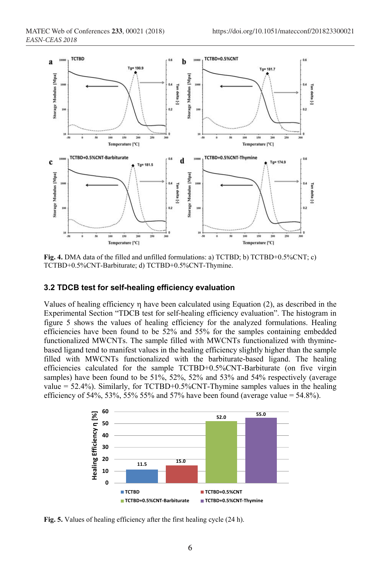

**Fig. 4.** DMA data of the filled and unfilled formulations: a) TCTBD; b) TCTBD+0.5%CNT; c) TCTBD+0.5%CNT-Barbiturate; d) TCTBD+0.5%CNT-Thymine.

#### **3.2 TDCB test for self-healing efficiency evaluation**

Values of healing efficiency  $\eta$  have been calculated using Equation (2), as described in the Experimental Section "TDCB test for self-healing efficiency evaluation". The histogram in figure 5 shows the values of healing efficiency for the analyzed formulations. Healing efficiencies have been found to be 52% and 55% for the samples containing embedded functionalized MWCNTs. The sample filled with MWCNTs functionalized with thyminebased ligand tend to manifest values in the healing efficiency slightly higher than the sample filled with MWCNTs functionalized with the barbiturate-based ligand. The healing efficiencies calculated for the sample TCTBD+0.5%CNT-Barbiturate (on five virgin samples) have been found to be 51%, 52%, 52% and 53% and 54% respectively (average value = 52.4%). Similarly, for TCTBD+0.5%CNT-Thymine samples values in the healing efficiency of 54%, 53%, 55% 55% and 57% have been found (average value =  $54.8\%$ ).



**Fig. 5.** Values of healing efficiency after the first healing cycle (24 h).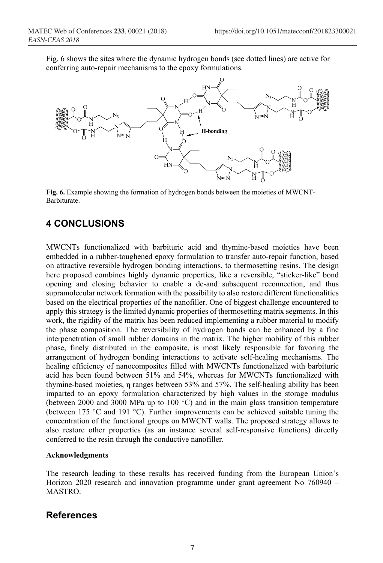Fig. 6 shows the sites where the dynamic hydrogen bonds (see dotted lines) are active for conferring auto-repair mechanisms to the epoxy formulations.



**Fig. 6.** Example showing the formation of hydrogen bonds between the moieties of MWCNT-Barbiturate.

# **4 CONCLUSIONS**

MWCNTs functionalized with barbituric acid and thymine-based moieties have been embedded in a rubber-toughened epoxy formulation to transfer auto-repair function, based on attractive reversible hydrogen bonding interactions, to thermosetting resins. The design here proposed combines highly dynamic properties, like a reversible, "sticker-like" bond opening and closing behavior to enable a de-and subsequent reconnection, and thus supramolecular network formation with the possibility to also restore different functionalities based on the electrical properties of the nanofiller. One of biggest challenge encountered to apply this strategy is the limited dynamic properties of thermosetting matrix segments. In this work, the rigidity of the matrix has been reduced implementing a rubber material to modify the phase composition. The reversibility of hydrogen bonds can be enhanced by a fine interpenetration of small rubber domains in the matrix. The higher mobility of this rubber phase, finely distributed in the composite, is most likely responsible for favoring the arrangement of hydrogen bonding interactions to activate self-healing mechanisms. The healing efficiency of nanocomposites filled with MWCNTs functionalized with barbituric acid has been found between 51% and 54%, whereas for MWCNTs functionalized with thymine-based moieties, η ranges between 53% and 57%. The self-healing ability has been imparted to an epoxy formulation characterized by high values in the storage modulus (between 2000 and 3000 MPa up to 100 °C) and in the main glass transition temperature (between 175 °C and 191 °C). Further improvements can be achieved suitable tuning the concentration of the functional groups on MWCNT walls. The proposed strategy allows to also restore other properties (as an instance several self-responsive functions) directly conferred to the resin through the conductive nanofiller.

#### **Acknowledgments**

The research leading to these results has received funding from the European Union's Horizon 2020 research and innovation programme under grant agreement No 760940 – MASTRO.

# **References**